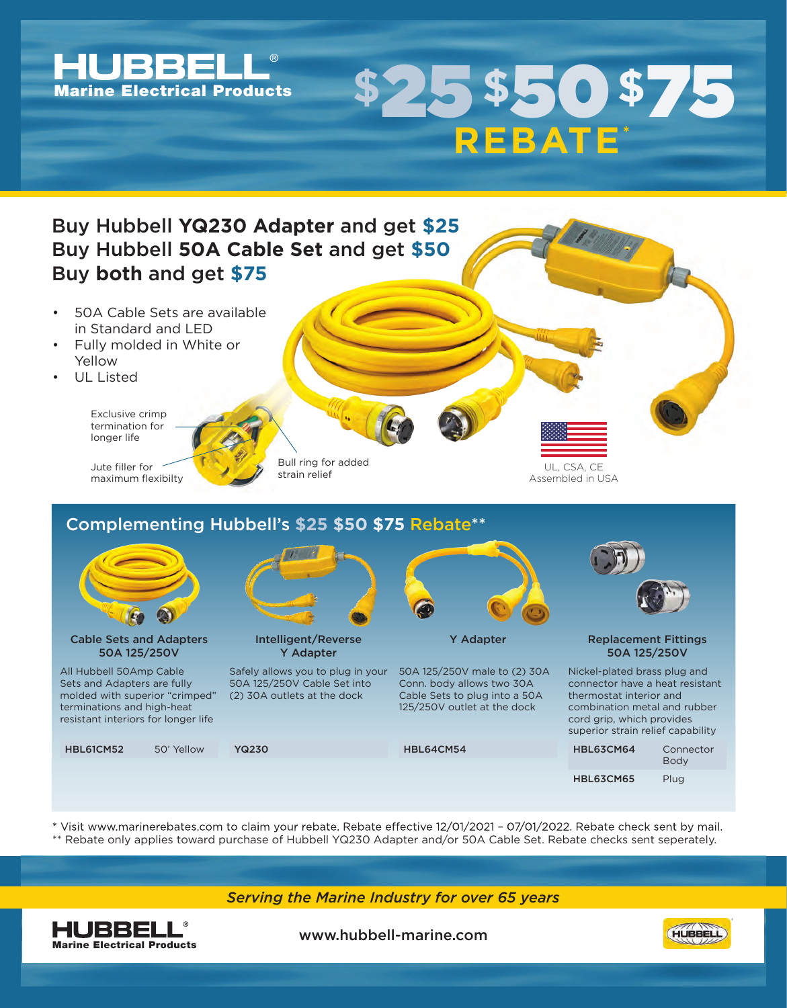

\* Visit www.marinerebates.com to claim your rebate. Rebate effective 12/01/2021 - 07/01/2022. Rebate check sent by mail. \*\* Rebate only applies toward purchase of Hubbell YQ230 Adapter and/or 50A Cable Set. Rebate checks sent seperately.

*Serving the Marine Industry for over 65 years*



www.hubbell-marine.com